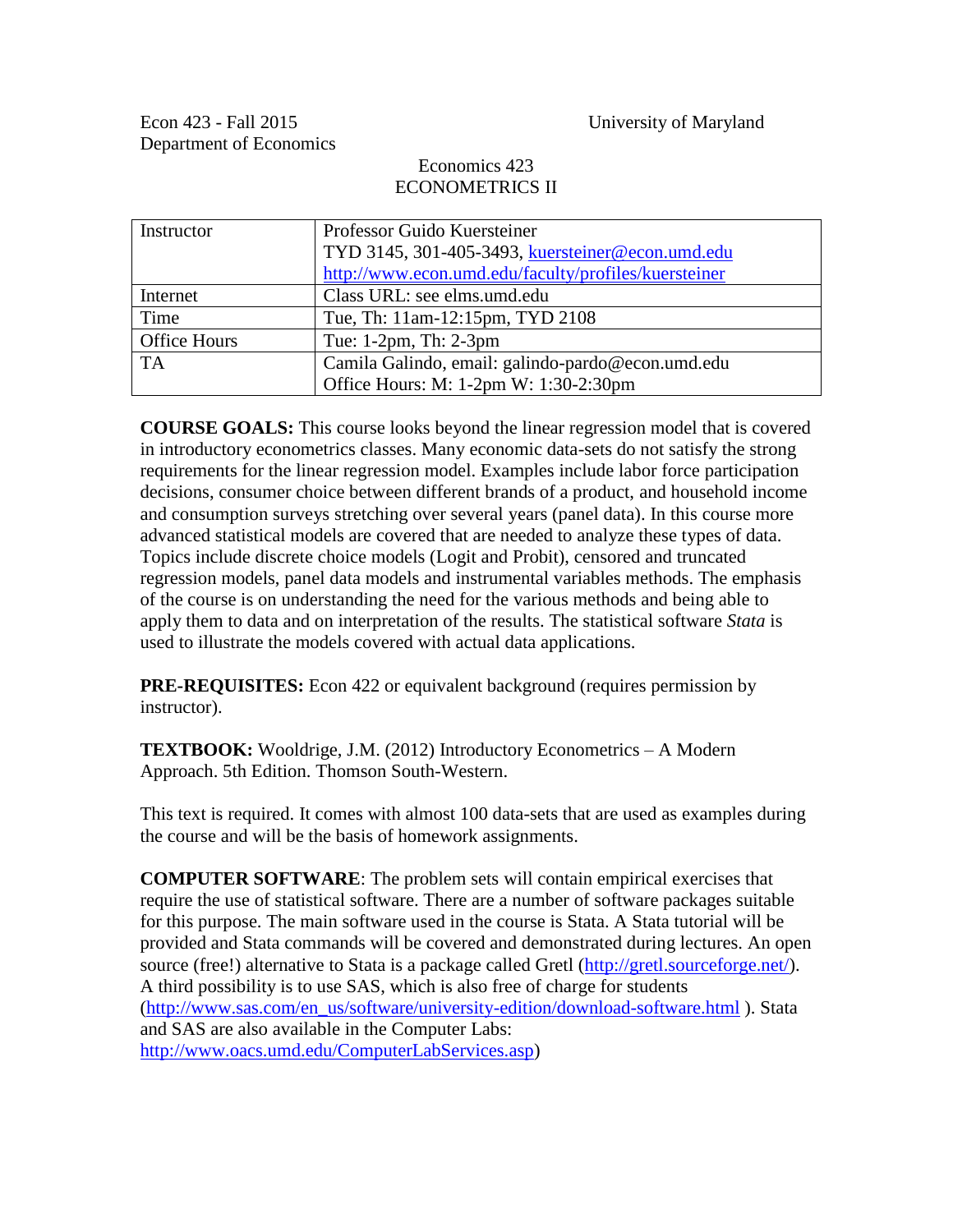# Economics 423 ECONOMETRICS II

| Instructor   | Professor Guido Kuersteiner                          |  |  |
|--------------|------------------------------------------------------|--|--|
|              | TYD 3145, 301-405-3493, kuersteiner@econ.umd.edu     |  |  |
|              | http://www.econ.umd.edu/faculty/profiles/kuersteiner |  |  |
| Internet     | Class URL: see elms.umd.edu                          |  |  |
| Time         | Tue, Th: 11am-12:15pm, TYD 2108                      |  |  |
| Office Hours | Tue: 1-2pm, Th: 2-3pm                                |  |  |
| <b>TA</b>    | Camila Galindo, email: galindo-pardo@econ.umd.edu    |  |  |
|              | Office Hours: M: 1-2pm W: 1:30-2:30pm                |  |  |

**COURSE GOALS:** This course looks beyond the linear regression model that is covered in introductory econometrics classes. Many economic data-sets do not satisfy the strong requirements for the linear regression model. Examples include labor force participation decisions, consumer choice between different brands of a product, and household income and consumption surveys stretching over several years (panel data). In this course more advanced statistical models are covered that are needed to analyze these types of data. Topics include discrete choice models (Logit and Probit), censored and truncated regression models, panel data models and instrumental variables methods. The emphasis of the course is on understanding the need for the various methods and being able to apply them to data and on interpretation of the results. The statistical software *Stata* is used to illustrate the models covered with actual data applications.

**PRE-REQUISITES:** Econ 422 or equivalent background (requires permission by instructor).

**TEXTBOOK:** Wooldrige, J.M. (2012) Introductory Econometrics – A Modern Approach. 5th Edition. Thomson South-Western.

This text is required. It comes with almost 100 data-sets that are used as examples during the course and will be the basis of homework assignments.

**COMPUTER SOFTWARE**: The problem sets will contain empirical exercises that require the use of statistical software. There are a number of software packages suitable for this purpose. The main software used in the course is Stata. A Stata tutorial will be provided and Stata commands will be covered and demonstrated during lectures. An open source (free!) alternative to Stata is a package called Gretl [\(http://gretl.sourceforge.net/\)](http://gretl.sourceforge.net/). A third possibility is to use SAS, which is also free of charge for students [\(http://www.sas.com/en\\_us/software/university-edition/download-software.html](http://www.sas.com/en_us/software/university-edition/download-software.html) ). Stata and SAS are also available in the Computer Labs: [http://www.oacs.umd.edu/ComputerLabServices.asp\)](http://www.oacs.umd.edu/ComputerLabServices.asp)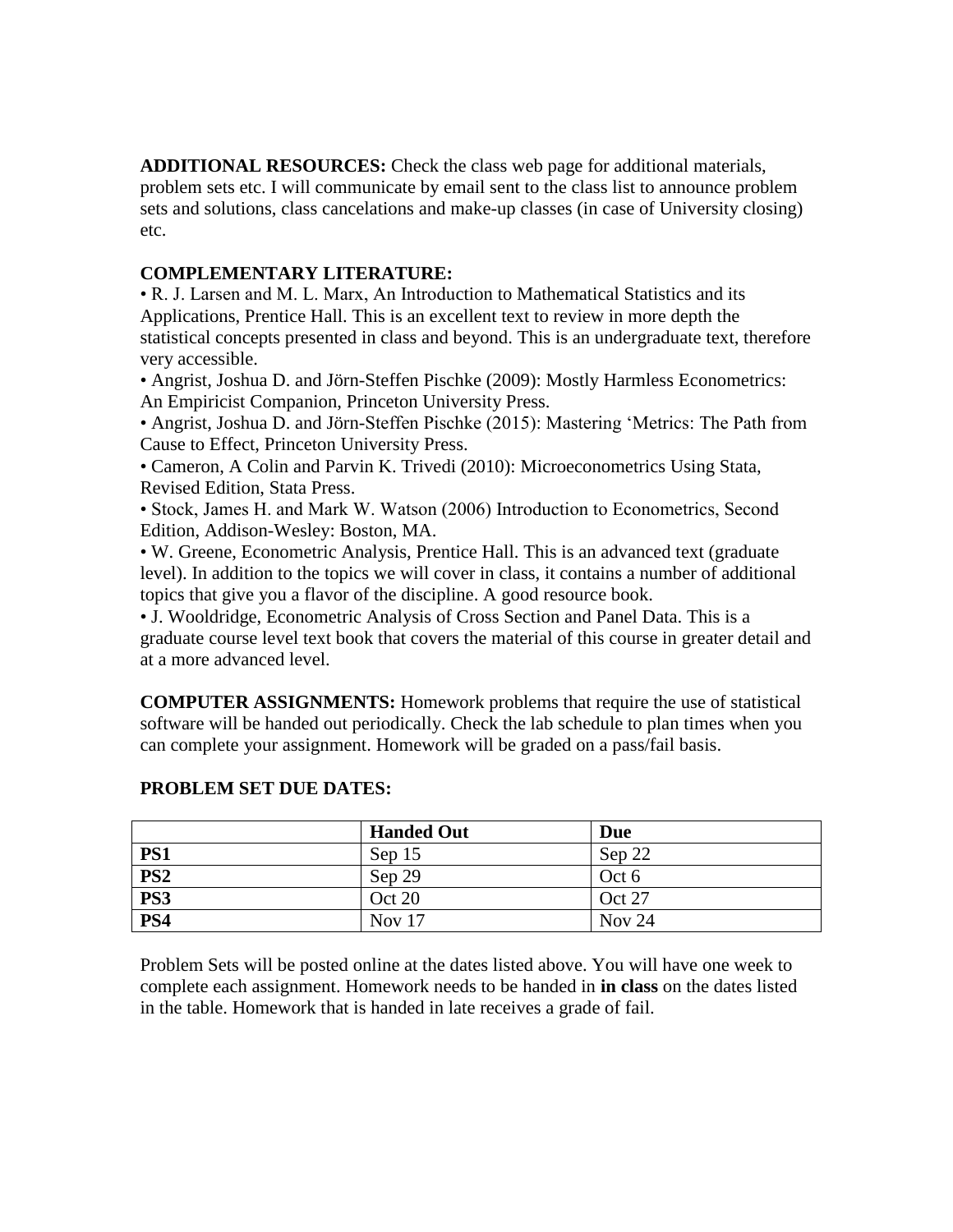**ADDITIONAL RESOURCES:** Check the class web page for additional materials, problem sets etc. I will communicate by email sent to the class list to announce problem sets and solutions, class cancelations and make-up classes (in case of University closing) etc.

# **COMPLEMENTARY LITERATURE:**

• R. J. Larsen and M. L. Marx, An Introduction to Mathematical Statistics and its Applications, Prentice Hall. This is an excellent text to review in more depth the statistical concepts presented in class and beyond. This is an undergraduate text, therefore very accessible.

• Angrist, Joshua D. and Jörn-Steffen Pischke (2009): Mostly Harmless Econometrics: An Empiricist Companion, Princeton University Press.

• Angrist, Joshua D. and Jörn-Steffen Pischke (2015): Mastering 'Metrics: The Path from Cause to Effect, Princeton University Press.

• Cameron, A Colin and Parvin K. Trivedi (2010): Microeconometrics Using Stata, Revised Edition, Stata Press.

• Stock, James H. and Mark W. Watson (2006) Introduction to Econometrics, Second Edition, Addison-Wesley: Boston, MA.

• W. Greene, Econometric Analysis, Prentice Hall. This is an advanced text (graduate level). In addition to the topics we will cover in class, it contains a number of additional topics that give you a flavor of the discipline. A good resource book.

• J. Wooldridge, Econometric Analysis of Cross Section and Panel Data. This is a graduate course level text book that covers the material of this course in greater detail and at a more advanced level.

**COMPUTER ASSIGNMENTS:** Homework problems that require the use of statistical software will be handed out periodically. Check the lab schedule to plan times when you can complete your assignment. Homework will be graded on a pass/fail basis.

|                 | <b>Handed Out</b> | Due           |
|-----------------|-------------------|---------------|
| PS1             | Sep 15            | Sep 22        |
| PS <sub>2</sub> | Sep 29            | Oct 6         |
| PS3             | Oct 20            | <b>Oct 27</b> |
| PS4             | <b>Nov</b> 17     | <b>Nov 24</b> |

# **PROBLEM SET DUE DATES:**

Problem Sets will be posted online at the dates listed above. You will have one week to complete each assignment. Homework needs to be handed in **in class** on the dates listed in the table. Homework that is handed in late receives a grade of fail.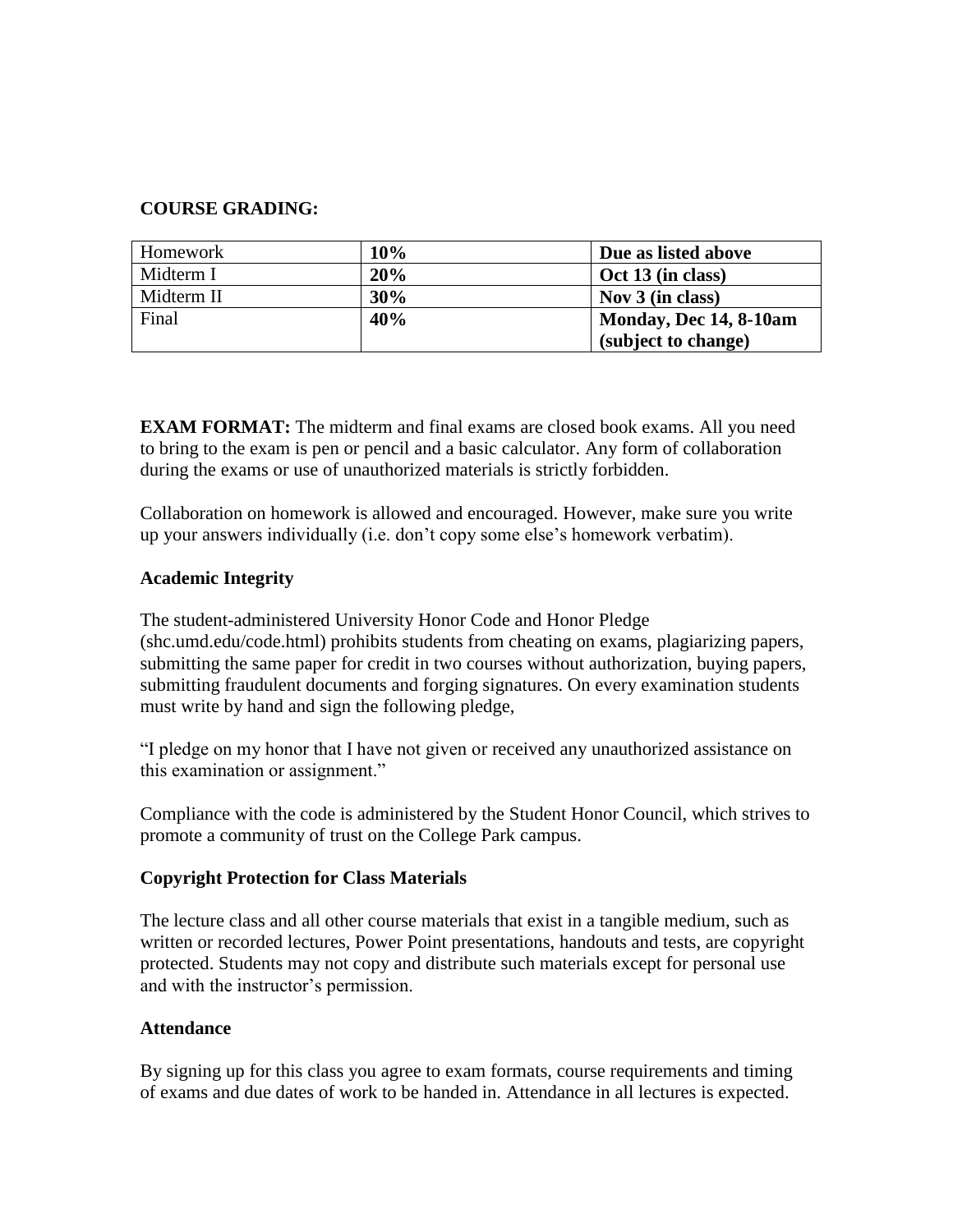## **COURSE GRADING:**

| Homework   | 10% | Due as listed above    |
|------------|-----|------------------------|
| Midterm I  | 20% | Oct 13 (in class)      |
| Midterm II | 30% | Nov $3$ (in class)     |
| Final      | 40% | Monday, Dec 14, 8-10am |
|            |     | (subject to change)    |

**EXAM FORMAT:** The midterm and final exams are closed book exams. All you need to bring to the exam is pen or pencil and a basic calculator. Any form of collaboration during the exams or use of unauthorized materials is strictly forbidden.

Collaboration on homework is allowed and encouraged. However, make sure you write up your answers individually (i.e. don't copy some else's homework verbatim).

### **Academic Integrity**

The student-administered University Honor Code and Honor Pledge (shc.umd.edu/code.html) prohibits students from cheating on exams, plagiarizing papers, submitting the same paper for credit in two courses without authorization, buying papers, submitting fraudulent documents and forging signatures. On every examination students must write by hand and sign the following pledge,

"I pledge on my honor that I have not given or received any unauthorized assistance on this examination or assignment."

Compliance with the code is administered by the Student Honor Council, which strives to promote a community of trust on the College Park campus.

### **Copyright Protection for Class Materials**

The lecture class and all other course materials that exist in a tangible medium, such as written or recorded lectures, Power Point presentations, handouts and tests, are copyright protected. Students may not copy and distribute such materials except for personal use and with the instructor's permission.

### **Attendance**

By signing up for this class you agree to exam formats, course requirements and timing of exams and due dates of work to be handed in. Attendance in all lectures is expected.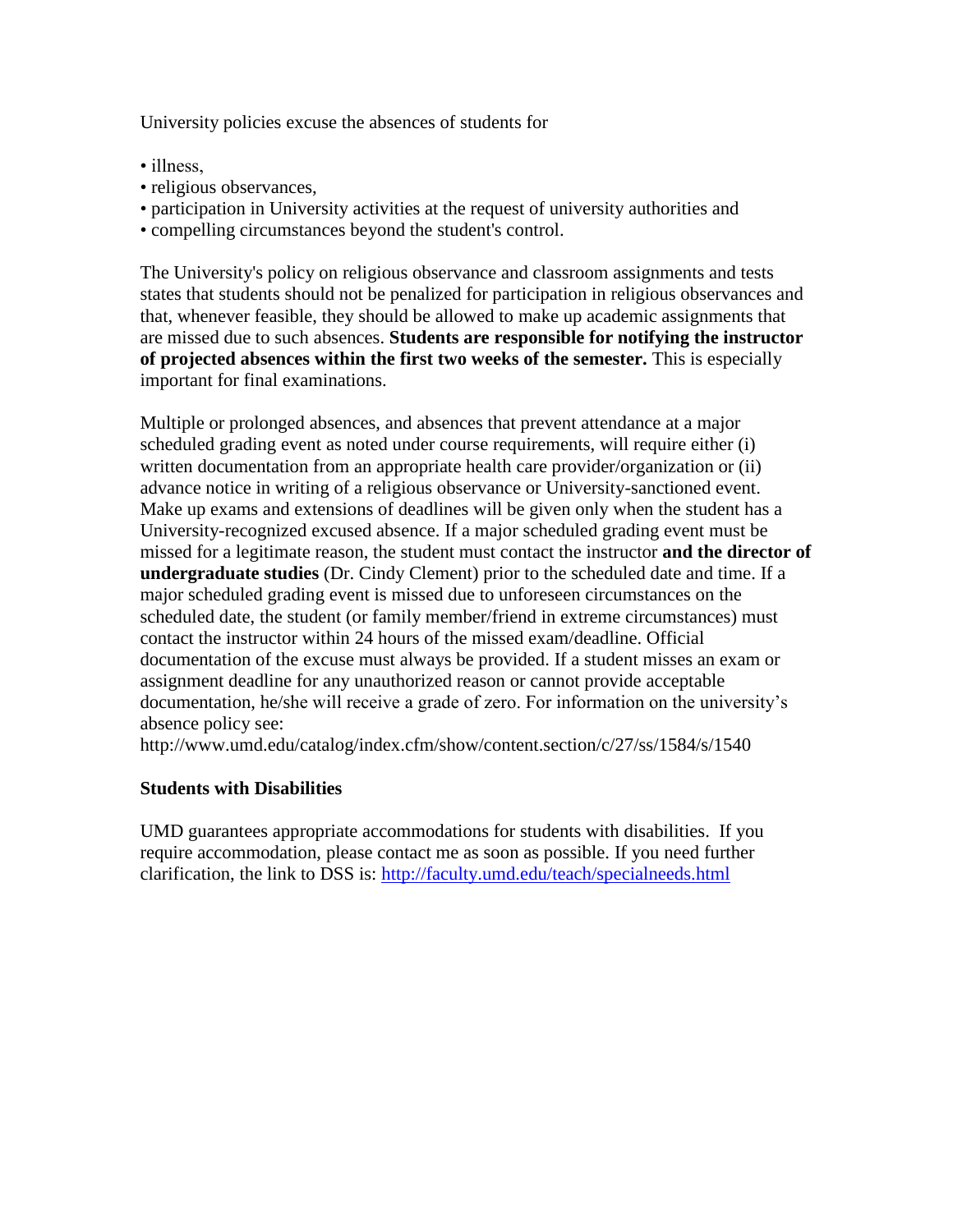University policies excuse the absences of students for

- illness.
- religious observances,
- participation in University activities at the request of university authorities and
- compelling circumstances beyond the student's control.

The University's policy on religious observance and classroom assignments and tests states that students should not be penalized for participation in religious observances and that, whenever feasible, they should be allowed to make up academic assignments that are missed due to such absences. **Students are responsible for notifying the instructor of projected absences within the first two weeks of the semester.** This is especially important for final examinations.

Multiple or prolonged absences, and absences that prevent attendance at a major scheduled grading event as noted under course requirements, will require either (i) written documentation from an appropriate health care provider/organization or (ii) advance notice in writing of a religious observance or University-sanctioned event. Make up exams and extensions of deadlines will be given only when the student has a University-recognized excused absence. If a major scheduled grading event must be missed for a legitimate reason, the student must contact the instructor **and the director of undergraduate studies** (Dr. Cindy Clement) prior to the scheduled date and time. If a major scheduled grading event is missed due to unforeseen circumstances on the scheduled date, the student (or family member/friend in extreme circumstances) must contact the instructor within 24 hours of the missed exam/deadline. Official documentation of the excuse must always be provided. If a student misses an exam or assignment deadline for any unauthorized reason or cannot provide acceptable documentation, he/she will receive a grade of zero. For information on the university's absence policy see:

http://www.umd.edu/catalog/index.cfm/show/content.section/c/27/ss/1584/s/1540

# **Students with Disabilities**

UMD guarantees appropriate accommodations for students with disabilities. If you require accommodation, please contact me as soon as possible. If you need further clarification, the link to DSS is:<http://faculty.umd.edu/teach/specialneeds.html>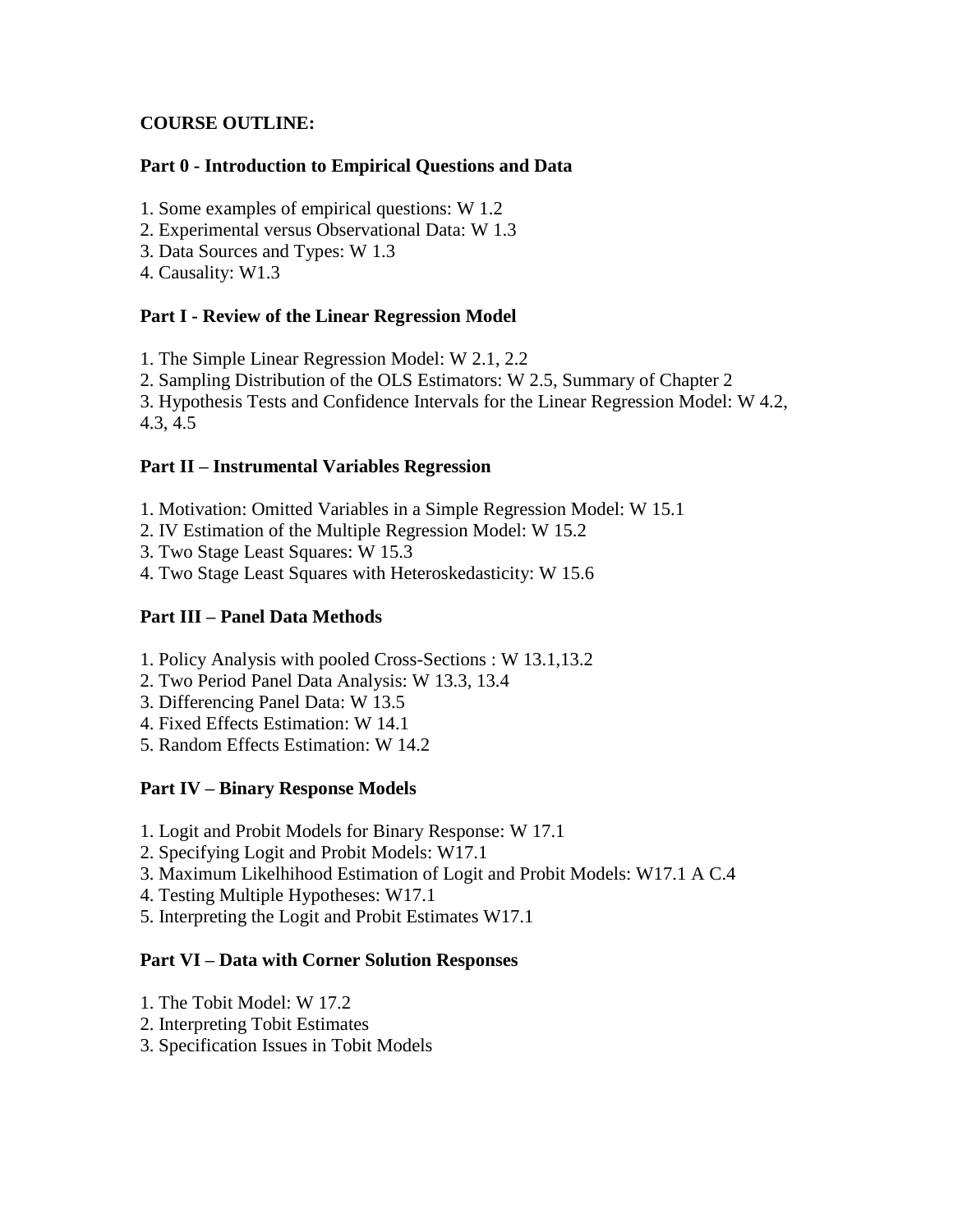# **COURSE OUTLINE:**

## **Part 0 - Introduction to Empirical Questions and Data**

- 1. Some examples of empirical questions: W 1.2
- 2. Experimental versus Observational Data: W 1.3
- 3. Data Sources and Types: W 1.3
- 4. Causality: W1.3

## **Part I - Review of the Linear Regression Model**

1. The Simple Linear Regression Model: W 2.1, 2.2

2. Sampling Distribution of the OLS Estimators: W 2.5, Summary of Chapter 2

3. Hypothesis Tests and Confidence Intervals for the Linear Regression Model: W 4.2, 4.3, 4.5

## **Part II – Instrumental Variables Regression**

- 1. Motivation: Omitted Variables in a Simple Regression Model: W 15.1
- 2. IV Estimation of the Multiple Regression Model: W 15.2
- 3. Two Stage Least Squares: W 15.3
- 4. Two Stage Least Squares with Heteroskedasticity: W 15.6

# **Part III – Panel Data Methods**

- 1. Policy Analysis with pooled Cross-Sections : W 13.1,13.2
- 2. Two Period Panel Data Analysis: W 13.3, 13.4
- 3. Differencing Panel Data: W 13.5
- 4. Fixed Effects Estimation: W 14.1
- 5. Random Effects Estimation: W 14.2

# **Part IV – Binary Response Models**

- 1. Logit and Probit Models for Binary Response: W 17.1
- 2. Specifying Logit and Probit Models: W17.1
- 3. Maximum Likelhihood Estimation of Logit and Probit Models: W17.1 A C.4
- 4. Testing Multiple Hypotheses: W17.1
- 5. Interpreting the Logit and Probit Estimates W17.1

### **Part VI – Data with Corner Solution Responses**

- 1. The Tobit Model: W 17.2
- 2. Interpreting Tobit Estimates
- 3. Specification Issues in Tobit Models